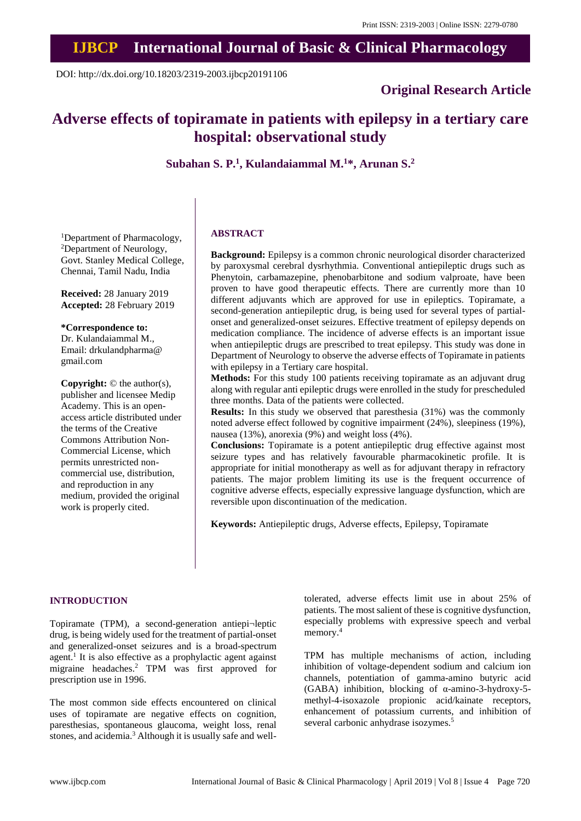# **IJBCP International Journal of Basic & Clinical Pharmacology**

DOI: http://dx.doi.org/10.18203/2319-2003.ijbcp20191106

### **Original Research Article**

## **Adverse effects of topiramate in patients with epilepsy in a tertiary care hospital: observational study**

**Subahan S. P. 1 , Kulandaiammal M. <sup>1</sup>\*, Arunan S. 2**

<sup>1</sup>Department of Pharmacology, <sup>2</sup>Department of Neurology, Govt. Stanley Medical College, Chennai, Tamil Nadu, India

**Received:** 28 January 2019 **Accepted:** 28 February 2019

**\*Correspondence to:**

Dr. Kulandaiammal M., Email: drkulandpharma@ gmail.com

**Copyright:** © the author(s), publisher and licensee Medip Academy. This is an openaccess article distributed under the terms of the Creative Commons Attribution Non-Commercial License, which permits unrestricted noncommercial use, distribution, and reproduction in any medium, provided the original work is properly cited.

#### **ABSTRACT**

**Background:** Epilepsy is a common chronic neurological disorder characterized by paroxysmal cerebral dysrhythmia. Conventional antiepileptic drugs such as Phenytoin, carbamazepine, phenobarbitone and sodium valproate, have been proven to have good therapeutic effects. There are currently more than 10 different adjuvants which are approved for use in epileptics. Topiramate, a second-generation antiepileptic drug, is being used for several types of partialonset and generalized-onset seizures. Effective treatment of epilepsy depends on medication compliance. The incidence of adverse effects is an important issue when antiepileptic drugs are prescribed to treat epilepsy. This study was done in Department of Neurology to observe the adverse effects of Topiramate in patients with epilepsy in a Tertiary care hospital.

**Methods:** For this study 100 patients receiving topiramate as an adjuvant drug along with regular anti epileptic drugs were enrolled in the study for prescheduled three months. Data of the patients were collected.

**Results:** In this study we observed that paresthesia (31%) was the commonly noted adverse effect followed by cognitive impairment (24%), sleepiness (19%), nausea (13%), anorexia (9%) and weight loss (4%).

**Conclusions:** Topiramate is a potent antiepileptic drug effective against most seizure types and has relatively favourable pharmacokinetic profile. It is appropriate for initial monotherapy as well as for adjuvant therapy in refractory patients. The major problem limiting its use is the frequent occurrence of cognitive adverse effects, especially expressive language dysfunction, which are reversible upon discontinuation of the medication.

**Keywords:** Antiepileptic drugs, Adverse effects, Epilepsy, Topiramate

#### **INTRODUCTION**

Topiramate (TPM), a second-generation antiepi¬leptic drug, is being widely used for the treatment of partial-onset and generalized-onset seizures and is a broad-spectrum agent.<sup>1</sup> It is also effective as a prophylactic agent against migraine headaches. <sup>2</sup> TPM was first approved for prescription use in 1996.

The most common side effects encountered on clinical uses of topiramate are negative effects on cognition, paresthesias, spontaneous glaucoma, weight loss, renal stones, and acidemia. <sup>3</sup> Although it is usually safe and welltolerated, adverse effects limit use in about 25% of patients. The most salient of these is cognitive dysfunction, especially problems with expressive speech and verbal memory. 4

TPM has multiple mechanisms of action, including inhibition of voltage-dependent sodium and calcium ion channels, potentiation of gamma-amino butyric acid (GABA) inhibition, blocking of α-amino-3-hydroxy-5 methyl-4-isoxazole propionic acid/kainate receptors, enhancement of potassium currents, and inhibition of several carbonic anhydrase isozymes. 5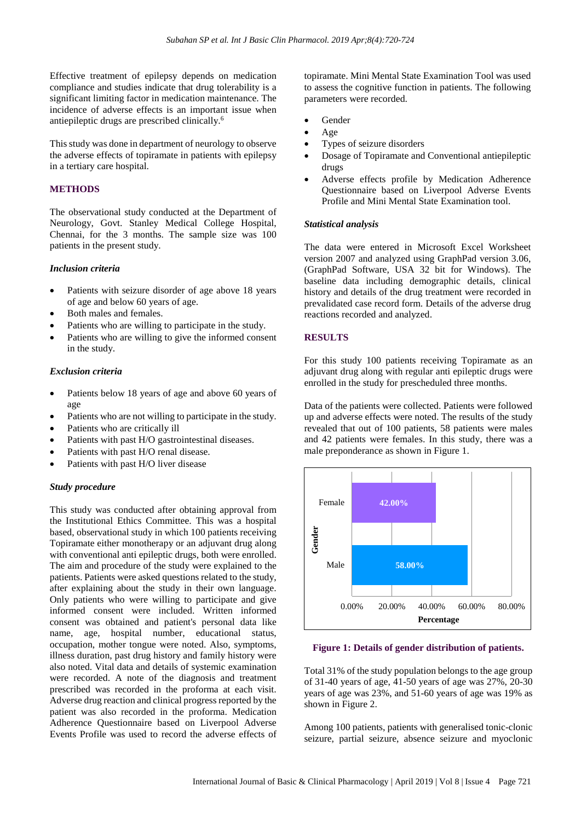Effective treatment of epilepsy depends on medication compliance and studies indicate that drug tolerability is a significant limiting factor in medication maintenance. The incidence of adverse effects is an important issue when antiepileptic drugs are prescribed clinically. 6

This study was done in department of neurology to observe the adverse effects of topiramate in patients with epilepsy in a tertiary care hospital.

#### **METHODS**

The observational study conducted at the Department of Neurology, Govt. Stanley Medical College Hospital, Chennai, for the 3 months. The sample size was 100 patients in the present study.

#### *Inclusion criteria*

- Patients with seizure disorder of age above 18 years of age and below 60 years of age.
- Both males and females.
- Patients who are willing to participate in the study.
- Patients who are willing to give the informed consent in the study.

#### *Exclusion criteria*

- Patients below 18 years of age and above 60 years of age
- Patients who are not willing to participate in the study.
- Patients who are critically ill
- Patients with past H/O gastrointestinal diseases.
- Patients with past H/O renal disease.
- Patients with past H/O liver disease

#### *Study procedure*

This study was conducted after obtaining approval from the Institutional Ethics Committee. This was a hospital based, observational study in which 100 patients receiving Topiramate either monotherapy or an adjuvant drug along with conventional anti epileptic drugs, both were enrolled. The aim and procedure of the study were explained to the patients. Patients were asked questions related to the study, after explaining about the study in their own language. Only patients who were willing to participate and give informed consent were included. Written informed consent was obtained and patient's personal data like name, age, hospital number, educational status, occupation, mother tongue were noted. Also, symptoms, illness duration, past drug history and family history were also noted. Vital data and details of systemic examination were recorded. A note of the diagnosis and treatment prescribed was recorded in the proforma at each visit. Adverse drug reaction and clinical progress reported by the patient was also recorded in the proforma. Medication Adherence Questionnaire based on Liverpool Adverse Events Profile was used to record the adverse effects of topiramate. Mini Mental State Examination Tool was used to assess the cognitive function in patients. The following parameters were recorded.

- Gender
- Age
- Types of seizure disorders
- Dosage of Topiramate and Conventional antiepileptic drugs
- Adverse effects profile by Medication Adherence Questionnaire based on Liverpool Adverse Events Profile and Mini Mental State Examination tool.

#### *Statistical analysis*

The data were entered in Microsoft Excel Worksheet version 2007 and analyzed using GraphPad version 3.06, (GraphPad Software, USA 32 bit for Windows). The baseline data including demographic details, clinical history and details of the drug treatment were recorded in prevalidated case record form. Details of the adverse drug reactions recorded and analyzed.

#### **RESULTS**

For this study 100 patients receiving Topiramate as an adjuvant drug along with regular anti epileptic drugs were enrolled in the study for prescheduled three months.

Data of the patients were collected. Patients were followed up and adverse effects were noted. The results of the study revealed that out of 100 patients, 58 patients were males and 42 patients were females. In this study, there was a male preponderance as shown in Figure 1.



#### **Figure 1: Details of gender distribution of patients.**

Total 31% of the study population belongs to the age group of 31-40 years of age, 41-50 years of age was 27%, 20-30 years of age was 23%, and 51-60 years of age was 19% as shown in Figure 2.

Among 100 patients, patients with generalised tonic-clonic seizure, partial seizure, absence seizure and myoclonic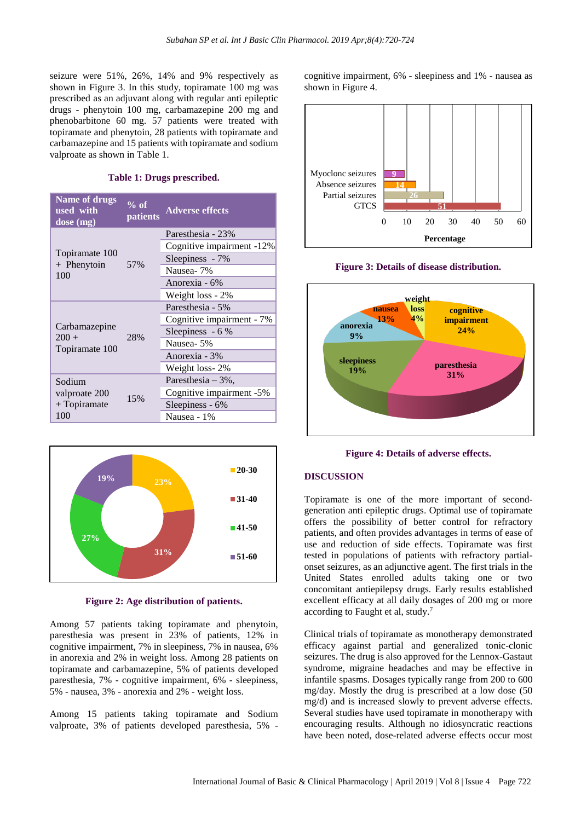seizure were 51%, 26%, 14% and 9% respectively as shown in Figure 3. In this study, topiramate 100 mg was prescribed as an adjuvant along with regular anti epileptic drugs - phenytoin 100 mg, carbamazepine 200 mg and phenobarbitone 60 mg. 57 patients were treated with topiramate and phenytoin, 28 patients with topiramate and carbamazepine and 15 patients with topiramate and sodium valproate as shown in Table 1.

#### **Table 1: Drugs prescribed.**

| <b>Name of drugs</b><br>used with<br>dose (mg)   | $\sqrt[9]{\circ}$ of<br><i>patients</i> | <b>Adverse effects</b>    |
|--------------------------------------------------|-----------------------------------------|---------------------------|
| Topiramate 100<br>$+$ Phenytoin<br>100           | 57%                                     | Paresthesia - 23%         |
|                                                  |                                         | Cognitive impairment -12% |
|                                                  |                                         | Sleepiness - 7%           |
|                                                  |                                         | Nausea-7%                 |
|                                                  |                                         | Anorexia - 6%             |
|                                                  |                                         | Weight loss - 2%          |
| Carbamazepine<br>$200 +$<br>Topiramate 100       | 28%                                     | Paresthesia - 5%          |
|                                                  |                                         | Cognitive impairment - 7% |
|                                                  |                                         | Sleepiness - 6 %          |
|                                                  |                                         | Nausea-5%                 |
|                                                  |                                         | Anorexia - 3%             |
|                                                  |                                         | Weight loss-2%            |
| Sodium<br>valproate 200<br>$+$ Topiramate<br>100 | 15%                                     | Paresthesia $-3\%$ ,      |
|                                                  |                                         | Cognitive impairment -5%  |
|                                                  |                                         | Sleepiness - 6%           |
|                                                  |                                         | Nausea - 1%               |



**Figure 2: Age distribution of patients.**

Among 57 patients taking topiramate and phenytoin, paresthesia was present in 23% of patients, 12% in cognitive impairment, 7% in sleepiness, 7% in nausea, 6% in anorexia and 2% in weight loss. Among 28 patients on topiramate and carbamazepine, 5% of patients developed paresthesia, 7% - cognitive impairment, 6% - sleepiness, 5% - nausea, 3% - anorexia and 2% - weight loss.

Among 15 patients taking topiramate and Sodium valproate, 3% of patients developed paresthesia, 5% -

cognitive impairment, 6% - sleepiness and 1% - nausea as shown in Figure 4.







**Figure 4: Details of adverse effects.**

#### **DISCUSSION**

Topiramate is one of the more important of secondgeneration anti epileptic drugs. Optimal use of topiramate offers the possibility of better control for refractory patients, and often provides advantages in terms of ease of use and reduction of side effects. Topiramate was first tested in populations of patients with refractory partialonset seizures, as an adjunctive agent. The first trials in the United States enrolled adults taking one or two concomitant antiepilepsy drugs. Early results established excellent efficacy at all daily dosages of 200 mg or more according to Faught et al, study. 7

Clinical trials of topiramate as monotherapy demonstrated efficacy against partial and generalized tonic-clonic seizures. The drug is also approved for the Lennox-Gastaut syndrome, migraine headaches and may be effective in infantile spasms. Dosages typically range from 200 to 600 mg/day. Mostly the drug is prescribed at a low dose (50 mg/d) and is increased slowly to prevent adverse effects. Several studies have used topiramate in monotherapy with encouraging results. Although no idiosyncratic reactions have been noted, dose-related adverse effects occur most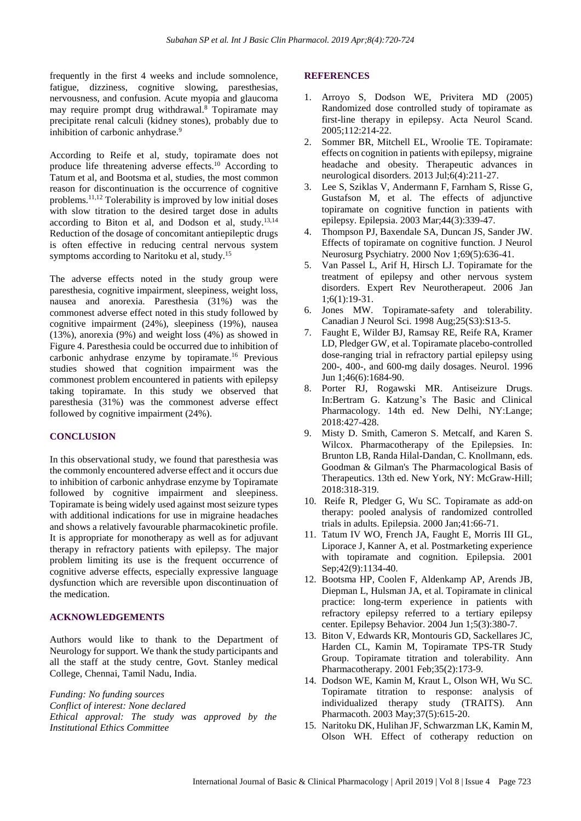frequently in the first 4 weeks and include somnolence, fatigue, dizziness, cognitive slowing, paresthesias, nervousness, and confusion. Acute myopia and glaucoma may require prompt drug withdrawal. <sup>8</sup> Topiramate may precipitate renal calculi (kidney stones), probably due to inhibition of carbonic anhydrase.<sup>9</sup>

According to Reife et al, study, topiramate does not produce life threatening adverse effects. <sup>10</sup> According to Tatum et al, and Bootsma et al, studies, the most common reason for discontinuation is the occurrence of cognitive problems. 11,12 Tolerability is improved by low initial doses with slow titration to the desired target dose in adults according to Biton et al, and Dodson et al, study. 13,14 Reduction of the dosage of concomitant antiepileptic drugs is often effective in reducing central nervous system symptoms according to Naritoku et al, study.<sup>15</sup>

The adverse effects noted in the study group were paresthesia, cognitive impairment, sleepiness, weight loss, nausea and anorexia. Paresthesia (31%) was the commonest adverse effect noted in this study followed by cognitive impairment (24%), sleepiness (19%), nausea (13%), anorexia (9%) and weight loss (4%) as showed in Figure 4. Paresthesia could be occurred due to inhibition of carbonic anhydrase enzyme by topiramate. <sup>16</sup> Previous studies showed that cognition impairment was the commonest problem encountered in patients with epilepsy taking topiramate. In this study we observed that paresthesia (31%) was the commonest adverse effect followed by cognitive impairment (24%).

#### **CONCLUSION**

In this observational study, we found that paresthesia was the commonly encountered adverse effect and it occurs due to inhibition of carbonic anhydrase enzyme by Topiramate followed by cognitive impairment and sleepiness. Topiramate is being widely used against most seizure types with additional indications for use in migraine headaches and shows a relatively favourable pharmacokinetic profile. It is appropriate for monotherapy as well as for adjuvant therapy in refractory patients with epilepsy. The major problem limiting its use is the frequent occurrence of cognitive adverse effects, especially expressive language dysfunction which are reversible upon discontinuation of the medication.

#### **ACKNOWLEDGEMENTS**

Authors would like to thank to the Department of Neurology for support. We thank the study participants and all the staff at the study centre, Govt. Stanley medical College, Chennai, Tamil Nadu, India.

*Funding: No funding sources Conflict of interest: None declared Ethical approval: The study was approved by the Institutional Ethics Committee*

#### **REFERENCES**

- 1. Arroyo S, Dodson WE, Privitera MD (2005) Randomized dose controlled study of topiramate as first-line therapy in epilepsy. Acta Neurol Scand. 2005;112:214-22.
- 2. Sommer BR, Mitchell EL, Wroolie TE. Topiramate: effects on cognition in patients with epilepsy, migraine headache and obesity. Therapeutic advances in neurological disorders. 2013 Jul;6(4):211-27.
- 3. Lee S, Sziklas V, Andermann F, Farnham S, Risse G, Gustafson M, et al. The effects of adjunctive topiramate on cognitive function in patients with epilepsy. Epilepsia. 2003 Mar;44(3):339-47.
- 4. Thompson PJ, Baxendale SA, Duncan JS, Sander JW. Effects of topiramate on cognitive function. J Neurol Neurosurg Psychiatry. 2000 Nov 1;69(5):636-41.
- 5. Van Passel L, Arif H, Hirsch LJ. Topiramate for the treatment of epilepsy and other nervous system disorders. Expert Rev Neurotherapeut. 2006 Jan 1;6(1):19-31.
- 6. Jones MW. Topiramate-safety and tolerability. Canadian J Neurol Sci. 1998 Aug;25(S3):S13-5.
- 7. Faught E, Wilder BJ, Ramsay RE, Reife RA, Kramer LD, Pledger GW, et al. Topiramate placebo-controlled dose-ranging trial in refractory partial epilepsy using 200-, 400-, and 600-mg daily dosages. Neurol. 1996 Jun 1;46(6):1684-90.
- 8. Porter RJ, Rogawski MR. Antiseizure Drugs. In:Bertram G. Katzung's The Basic and Clinical Pharmacology. 14th ed. New Delhi, NY:Lange; 2018:427-428.
- 9. Misty D. Smith, Cameron S. Metcalf, and Karen S. Wilcox. Pharmacotherapy of the Epilepsies. In: Brunton LB, Randa Hilal-Dandan, C. Knollmann, eds. Goodman & Gilman's The Pharmacological Basis of Therapeutics. 13th ed. New York, NY: McGraw-Hill; 2018:318-319.
- 10. Reife R, Pledger G, Wu SC. Topiramate as add‐on therapy: pooled analysis of randomized controlled trials in adults. Epilepsia. 2000 Jan;41:66-71.
- 11. Tatum IV WO, French JA, Faught E, Morris III GL, Liporace J, Kanner A, et al. Postmarketing experience with topiramate and cognition. Epilepsia. 2001 Sep;42(9):1134-40.
- 12. Bootsma HP, Coolen F, Aldenkamp AP, Arends JB, Diepman L, Hulsman JA, et al. Topiramate in clinical practice: long-term experience in patients with refractory epilepsy referred to a tertiary epilepsy center. Epilepsy Behavior. 2004 Jun 1;5(3):380-7.
- 13. Biton V, Edwards KR, Montouris GD, Sackellares JC, Harden CL, Kamin M, Topiramate TPS-TR Study Group. Topiramate titration and tolerability. Ann Pharmacotherapy. 2001 Feb;35(2):173-9.
- 14. Dodson WE, Kamin M, Kraut L, Olson WH, Wu SC. Topiramate titration to response: analysis of individualized therapy study (TRAITS). Ann Pharmacoth. 2003 May;37(5):615-20.
- 15. Naritoku DK, Hulihan JF, Schwarzman LK, Kamin M, Olson WH. Effect of cotherapy reduction on